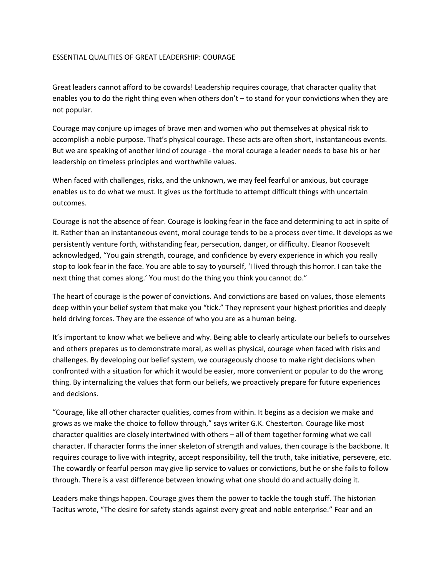## ESSENTIAL QUALITIES OF GREAT LEADERSHIP: COURAGE

Great leaders cannot afford to be cowards! Leadership requires courage, that character quality that enables you to do the right thing even when others don't – to stand for your convictions when they are not popular.

Courage may conjure up images of brave men and women who put themselves at physical risk to accomplish a noble purpose. That's physical courage. These acts are often short, instantaneous events. But we are speaking of another kind of courage - the moral courage a leader needs to base his or her leadership on timeless principles and worthwhile values.

When faced with challenges, risks, and the unknown, we may feel fearful or anxious, but courage enables us to do what we must. It gives us the fortitude to attempt difficult things with uncertain outcomes.

Courage is not the absence of fear. Courage is looking fear in the face and determining to act in spite of it. Rather than an instantaneous event, moral courage tends to be a process over time. It develops as we persistently venture forth, withstanding fear, persecution, danger, or difficulty. Eleanor Roosevelt acknowledged, "You gain strength, courage, and confidence by every experience in which you really stop to look fear in the face. You are able to say to yourself, 'I lived through this horror. I can take the next thing that comes along.' You must do the thing you think you cannot do."

The heart of courage is the power of convictions. And convictions are based on values, those elements deep within your belief system that make you "tick." They represent your highest priorities and deeply held driving forces. They are the essence of who you are as a human being.

It's important to know what we believe and why. Being able to clearly articulate our beliefs to ourselves and others prepares us to demonstrate moral, as well as physical, courage when faced with risks and challenges. By developing our belief system, we courageously choose to make right decisions when confronted with a situation for which it would be easier, more convenient or popular to do the wrong thing. By internalizing the values that form our beliefs, we proactively prepare for future experiences and decisions.

"Courage, like all other character qualities, comes from within. It begins as a decision we make and grows as we make the choice to follow through," says writer G.K. Chesterton. Courage like most character qualities are closely intertwined with others – all of them together forming what we call character. If character forms the inner skeleton of strength and values, then courage is the backbone. It requires courage to live with integrity, accept responsibility, tell the truth, take initiative, persevere, etc. The cowardly or fearful person may give lip service to values or convictions, but he or she fails to follow through. There is a vast difference between knowing what one should do and actually doing it.

Leaders make things happen. Courage gives them the power to tackle the tough stuff. The historian Tacitus wrote, "The desire for safety stands against every great and noble enterprise." Fear and an